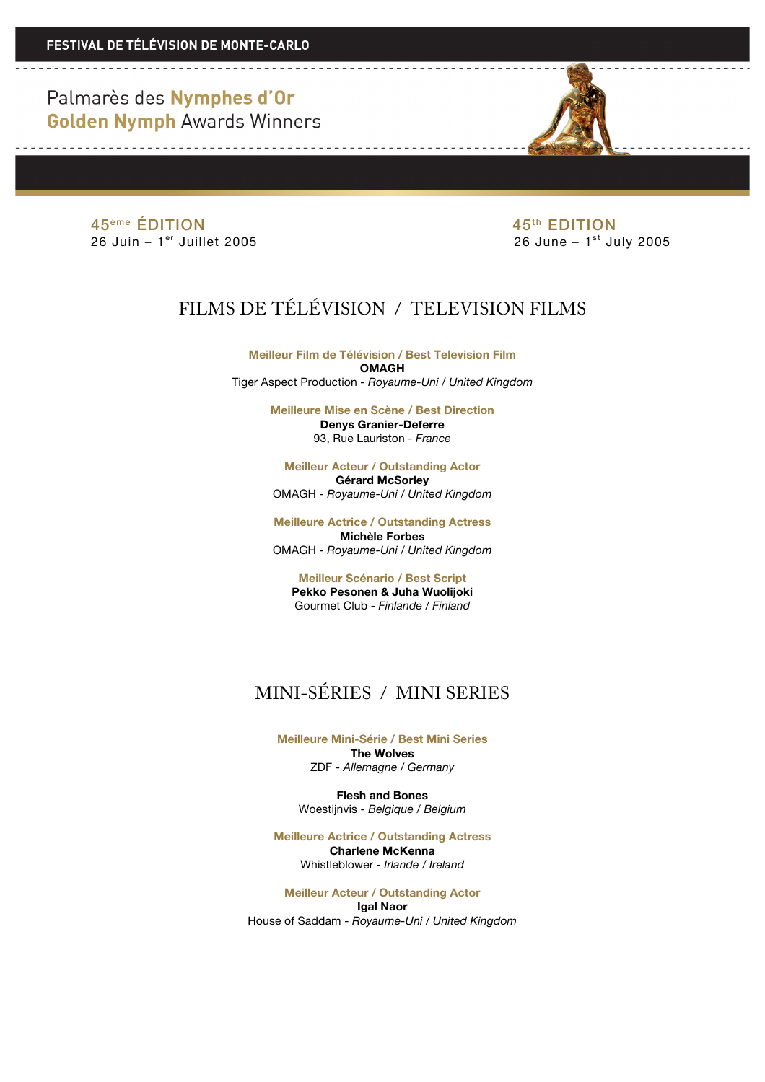$45<sup>ème</sup> ÉDITION  
26 Juni – 1<sup>er</sup> juillet 2005  
26 Jun – 1<sup>er</sup> Juillet 2005$ 

26 June –  $1<sup>st</sup>$  July 2005

# FILMS DE TÉLÉVISION / TELEVISION FILMS

**Meilleur Film de Télévision / Best Television Film OMAGH** Tiger Aspect Production - *Royaume-Uni / United Kingdom*

> **Meilleure Mise en Scène / Best Direction Denys Granier-Deferre** 93, Rue Lauriston - *France*

**Meilleur Acteur / Outstanding Actor Gérard McSorley** OMAGH - *Royaume-Uni / United Kingdom*

**Meilleure Actrice / Outstanding Actress Michèle Forbes** OMAGH - *Royaume-Uni / United Kingdom*

**Meilleur Scénario / Best Script Pekko Pesonen & Juha Wuolijoki** Gourmet Club - *Finlande / Finland*

### MINI-SÉRIES / MINI SERIES

**Meilleure Mini-Série / Best Mini Series The Wolves** ZDF - *Allemagne / Germany*

**Flesh and Bones** Woestijnvis - *Belgique / Belgium*

**Meilleure Actrice / Outstanding Actress Charlene McKenna** Whistleblower - *Irlande / Ireland*

**Meilleur Acteur / Outstanding Actor Igal Naor** House of Saddam - *Royaume-Uni / United Kingdom*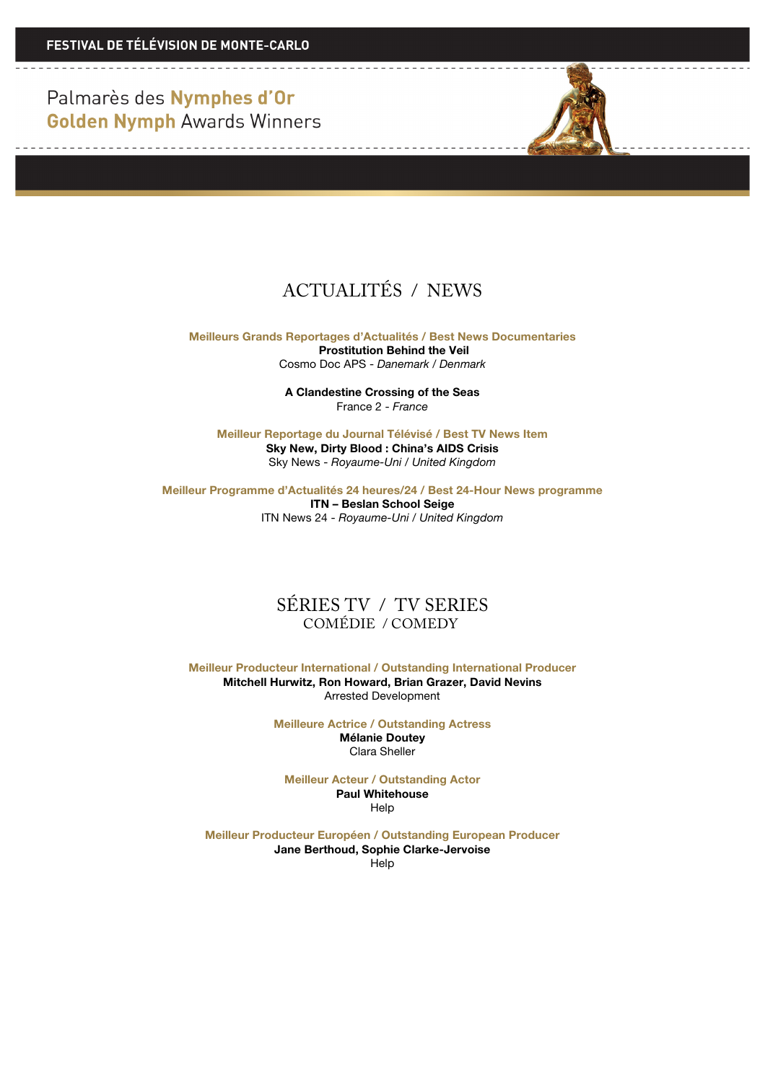------------------------------------



## ACTUALITÉS / NEWS

**Meilleurs Grands Reportages d'Actualités / Best News Documentaries Prostitution Behind the Veil** Cosmo Doc APS - *Danemark / Denmark*

> **A Clandestine Crossing of the Seas** France 2 - *France*

**Meilleur Reportage du Journal Télévisé / Best TV News Item Sky New, Dirty Blood : China's AIDS Crisis** Sky News - *Royaume-Uni / United Kingdom*

**Meilleur Programme d'Actualités 24 heures/24 / Best 24-Hour News programme**

**ITN – Beslan School Seige** ITN News 24 - *Royaume-Uni / United Kingdom*

#### SÉRIES TV / TV SERIES COMÉDIE / COMEDY

**Meilleur Producteur International / Outstanding International Producer Mitchell Hurwitz, Ron Howard, Brian Grazer, David Nevins** Arrested Development

> **Meilleure Actrice / Outstanding Actress Mélanie Doutey**

Clara Sheller

**Meilleur Acteur / Outstanding Actor Paul Whitehouse Help** 

**Meilleur Producteur Européen / Outstanding European Producer Jane Berthoud, Sophie Clarke-Jervoise Help**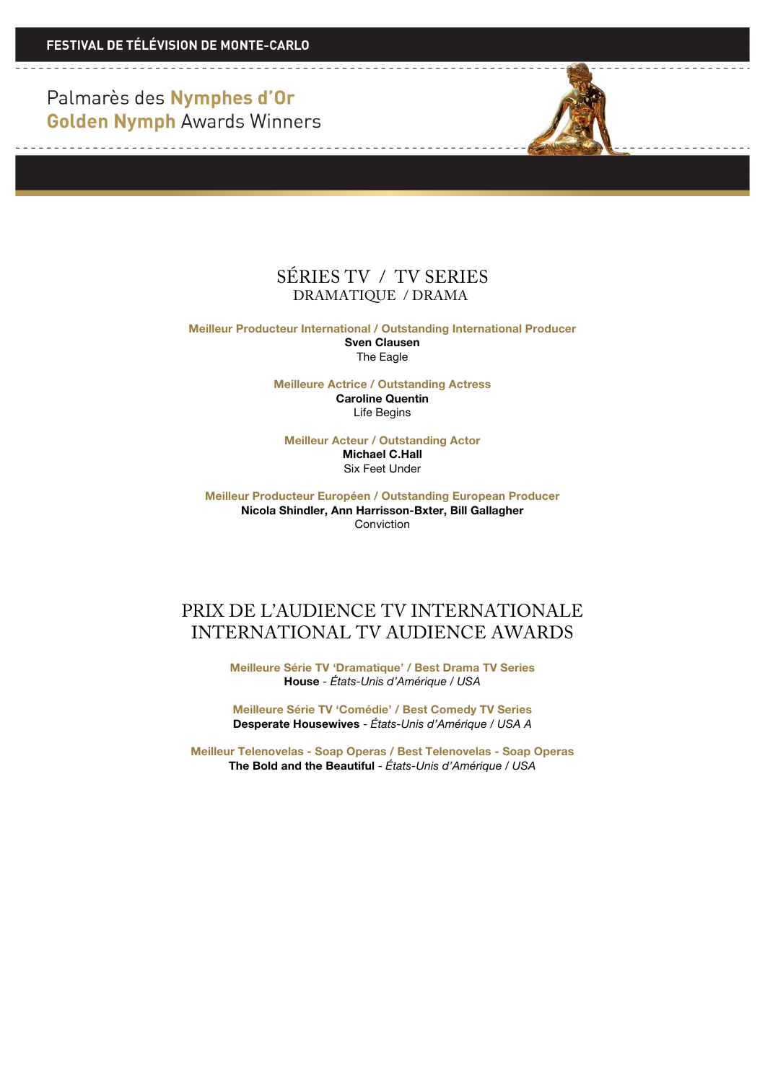

**Meilleur Producteur International / Outstanding International Producer Sven Clausen** The Eagle

> **Meilleure Actrice / Outstanding Actress Caroline Quentin** Life Begins

**Meilleur Acteur / Outstanding Actor Michael C.Hall** Six Feet Under

**Meilleur Producteur Européen / Outstanding European Producer Nicola Shindler, Ann Harrisson-Bxter, Bill Gallagher** Conviction

#### PRIX DE L'AUDIENCE TV INTERNATIONALE INTERNATIONAL TV AUDIENCE AWARDS

**Meilleure Série TV 'Dramatique' / Best Drama TV Series House** - *États-Unis d'Amérique / USA*

**Meilleure Série TV 'Comédie' / Best Comedy TV Series Desperate Housewives** - *États-Unis d'Amérique / USA A*

**Meilleur Telenovelas - Soap Operas / Best Telenovelas - Soap Operas The Bold and the Beautiful** - *États-Unis d'Amérique / USA*